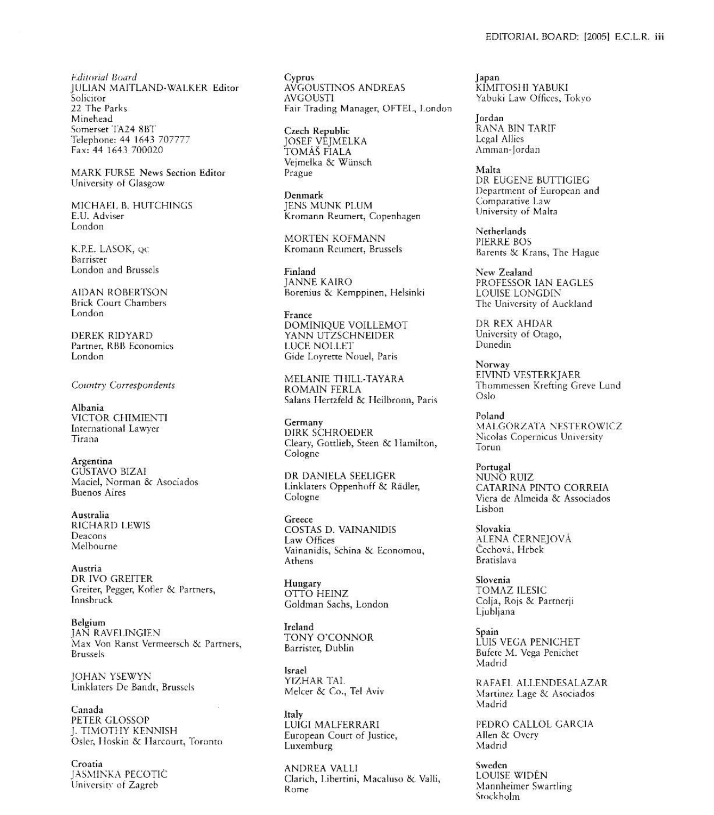MARK FURSE News Section Editor University of Glasgow

MICHAEL B. HUTCHINGS E.U. Adviser London

K.P.E. LASOK, QC Barrister London and Brussels

**AIDAN ROBERTSON Brick Court Chambers** London

**DEREK RIDYARD** Partner, RBB Economics London

Country Correspondents

Albania VICTOR CHIMIENTI International Lawyer Tirana

Argentina **GUSTAVO BIZAI** Maciel, Norman & Asociados **Buenos Aires** 

Australia **RICHARD LEWIS** Deacons Melbourne

Austria DR IVO GREITER Greiter, Pegger, Kofler & Partners, Innsbruck

Belgium **JAN RAVELINGIEN** Max Von Ranst Vermeersch & Partners, **Brussels** 

JOHAN YSEWYN Linklaters De Bandt, Brussels

Canada PETER GLOSSOP J. TIMOTHY KENNISH Osler, Hoskin & Harcourt, Toronto

Croatia JASMINKA PECOTIĆ University of Zagreb

Cyprus AVGOUSTINOS ANDREAS **AVGOUSTI** Fair Trading Manager, OFTEL, London

Czech Republic JOSEF VEJMELKA<br>TOMÁŠ FIALA Veimelka & Wünsch Prague

Denmark **IENS MUNK PLUM** Kromann Reumert, Copenhagen

MORTEN KOFMANN Kromann Reumert, Brussels

Finland **JANNE KAIRO** Borenius & Kemppinen, Helsinki

France DOMINIQUE VOILLEMOT YANN UTZSCHNEIDER **LUCE NOLLET** Gide Loyrette Nouel, Paris

MELANIE THILL-TAYARA **ROMAIN FERLA** Salans Hertzfeld & Heilbronn, Paris

Germany **DIRK SCHROEDER** Cleary, Gottlieb, Steen & Hamilton, Cologne

DR DANIELA SEELIGER Linklaters Oppenhoff & Rädler, Cologne

Greece **COSTAS D. VAINANIDIS** Law Offices Vainanidis, Schina & Economou, Athens

Hungary OTTO HEINZ Goldman Sachs, London

Ireland TONY O'CONNOR Barrister, Dublin

**Israel** YIZHAR TAL Melcer & Co., Tel Aviv

ltaly LUÍGI MALFERRARI European Court of Justice, Luxemburg

ANDREA VALLI Clarich, Libertini, Macaluso & Valli, Rome

Japan KIMITOSHI YABUKI Yabuki Law Offices, Tokvo

**I**ordan RANA BIN TARIF Legal Allies Amman-Jordan

Malta DR EUGENE BUTTIGIEG Department of European and Comparative Law University of Malta

Netherlands PIERRE BOS Barents & Krans, The Hague

New Zealand PROFESSOR IAN EAGLES LOUISE LONGDIN The University of Auckland

DR REX AHDAR University of Otago. Dunedin

Norway EIVIND VESTERKJAER Thommessen Krefting Greve Lund Oslo

Poland MALGORZATA NESTEROWICZ Nicolas Copernicus University Torun

Portugal NUNO RUIZ CATARINA PINTO CORREIA Viera de Almeida & Associados Lisbon

Slovakia ALENA ČERNEJOVÁ Čechová, Hrbek **Bratislava** 

Slovenia **TOMAZ ILESIC** Colja, Rojs & Partnerji Ljubljana

Spain LUIS VEGA PENICHET Bufete M. Vega Penichet Madrid

RAFAEL ALLENDESALAZAR Martinez Lage & Asociados Madrid

PEDRO CALLOL GARCIA Allen & Overy Madrid

Sweden **LOUISE WIDÉN** Mannheimer Swartling Stockholm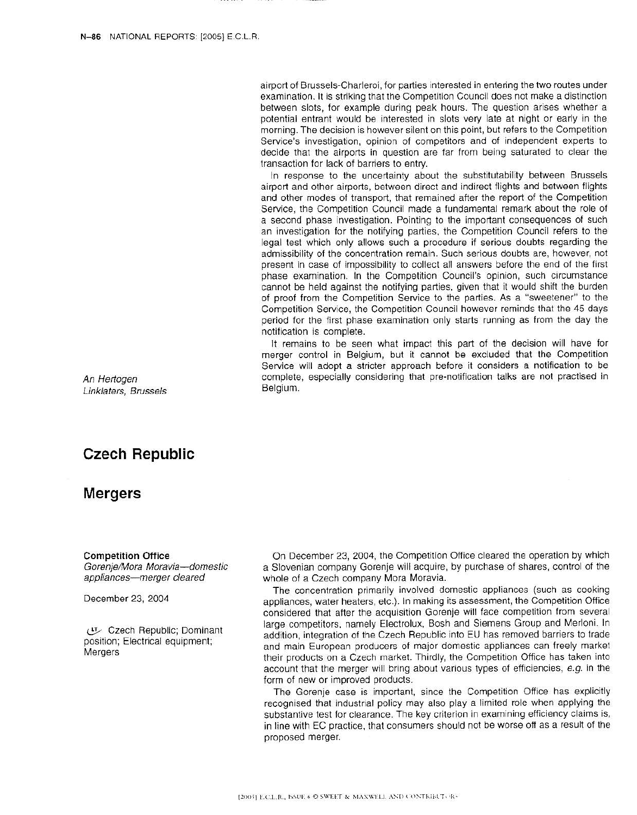airport of Brussels-Charleroi, for parties interested in entering the two routes under examination. It is striking that the Competition Council does not make a distinction between slots, for example during peak hours. The question arises whether a potential entrant would be interested in slots very late at night or early in the morning. The decision is however silent on this point, but refers to the Competition Service's investigation, opinion of competitors and of independent experts to decide that the airports in question are far from being saturated to clear the transaction for lack of barriers to entry.

In response to the uncertainty about the substitutability between Brussels airport and other airports, between direct and indirect flights and between flights and other modes of transport, that remained after the report of the Competition Service, the Competition Council made a fundamental remark about the role of a second phase investigation. Pointing to the important consequences of such an investigation for the notifying parties, the Competition Council refers to the legal test which only allows such a procedure if serious doubts regarding the admissibility of the concentration remain. Such serious doubts are, however, not present in case of impossibility to collect all answers before the end of the first phase examination. In the Competition Council's opinion, such circumstance cannot be held against the notifying parties, given that it would shift the burden of proof from the Competition Service to the parties. As a "sweetener" to the Competition Service, the Competition Council however reminds that the 45 days period for the first phase examination only starts running as from the day the notification is complete.

It remains to be seen what impact this part of the decision will have for merger control in Belgium, but it cannot be excluded that the Competition Service will adopt a stricter approach before it considers a notification to be complete, especially considering that pre-notification talks are not practised in Belgium.

An Hertogen Linklaters, Brussels

# **Czech Republic**

## **Mergers**

### **Competition Office**

Gorenje/Mora Moravia-domestic appliances-merger cleared

December 23, 2004

Czech Republic; Dominant position; Electrical equipment; Mergers

On December 23, 2004, the Competition Office cleared the operation by which a Slovenian company Gorenje will acquire, by purchase of shares, control of the whole of a Czech company Mora Moravia.

The concentration primarily involved domestic appliances (such as cooking appliances, water heaters, etc.). In making its assessment, the Competition Office considered that after the acquisition Gorenje will face competition from several large competitors, namely Electrolux, Bosh and Siemens Group and Merloni. In addition, integration of the Czech Republic into EU has removed barriers to trade and main European producers of major domestic appliances can freely market their products on a Czech market. Thirdly, the Competition Office has taken into account that the merger will bring about various types of efficiencies, e.g. in the form of new or improved products.

The Gorenje case is important, since the Competition Office has explicitly recognised that industrial policy may also play a limited role when applying the substantive test for clearance. The key criterion in examining efficiency claims is, in line with EC practice, that consumers should not be worse off as a result of the proposed merger.